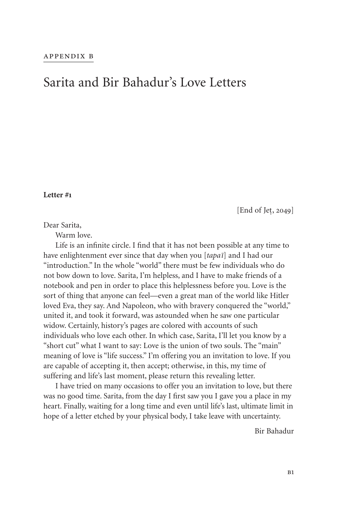# Sarita and Bir Bahadur's Love Letters

## **Letter #1**

[End of Jet, 2049]

Dear Sarita,

Warm love.

Life is an infinite circle. I find that it has not been possible at any time to have enlightenment ever since that day when you [*tapa˜ı*] and I had our "introduction." In the whole "world" there must be few individuals who do not bow down to love. Sarita, I'm helpless, and I have to make friends of a notebook and pen in order to place this helplessness before you. Love is the sort of thing that anyone can feel—even a great man of the world like Hitler loved Eva, they say. And Napoleon, who with bravery conquered the "world," united it, and took it forward, was astounded when he saw one particular widow. Certainly, history's pages are colored with accounts of such individuals who love each other. In which case, Sarita, I'll let you know by a "short cut" what I want to say: Love is the union of two souls. The "main" meaning of love is "life success." I'm offering you an invitation to love. If you are capable of accepting it, then accept; otherwise, in this, my time of suffering and life's last moment, please return this revealing letter.

I have tried on many occasions to offer you an invitation to love, but there was no good time. Sarita, from the day I first saw you I gave you a place in my heart. Finally, waiting for a long time and even until life's last, ultimate limit in hope of a letter etched by your physical body, I take leave with uncertainty.

Bir Bahadur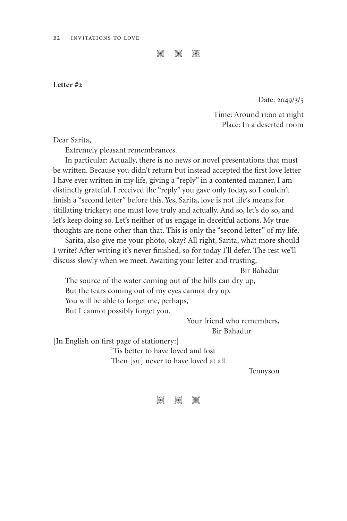# $\mathscr{H}$   $\mathscr{H}$   $\mathscr{H}$

## **Letter #2**

Date: 2049/3/5

Time: Around 11:00 at night Place: In a deserted room

Dear Sarita,

Extremely pleasant remembrances.

In particular: Actually, there is no news or novel presentations that must be written. Because you didn't return but instead accepted the first love letter I have ever written in my life, giving a "reply" in a contented manner, I am distinctly grateful. I received the "reply" you gave only today, so I couldn't finish a "second letter" before this. Yes, Sarita, love is not life's means for titillating trickery; one must love truly and actually. And so, let's do so, and let's keep doing so. Let's neither of us engage in deceitful actions. My true thoughts are none other than that. This is only the "second letter" of my life.

Sarita, also give me your photo, okay? All right, Sarita, what more should I write? After writing it's never finished, so for today I'll defer. The rest we'll discuss slowly when we meet. Awaiting your letter and trusting,

Bir Bahadur

The source of the water coming out of the hills can dry up, But the tears coming out of my eyes cannot dry up. You will be able to forget me, perhaps, But I cannot possibly forget you.

> Your friend who remembers, Bir Bahadur

[In English on first page of stationery:]

'Tis better to have loved and lost Then [*sic*] never to have loved at all.

Tennyson

 $\mathcal H\quad\mathcal H\quad\mathcal H$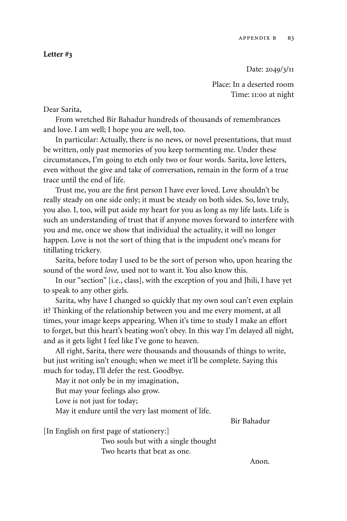Date: 2049/3/11

Place: In a deserted room Time: 11:00 at night

Dear Sarita,

From wretched Bir Bahadur hundreds of thousands of remembrances and love. I am well; I hope you are well, too.

In particular: Actually, there is no news, or novel presentations, that must be written, only past memories of you keep tormenting me. Under these circumstances, I'm going to etch only two or four words. Sarita, love letters, even without the give and take of conversation, remain in the form of a true trace until the end of life.

Trust me, you are the first person I have ever loved. Love shouldn't be really steady on one side only; it must be steady on both sides. So, love truly, you also. I, too, will put aside my heart for you as long as my life lasts. Life is such an understanding of trust that if anyone moves forward to interfere with you and me, once we show that individual the actuality, it will no longer happen. Love is not the sort of thing that is the impudent one's means for titillating trickery.

Sarita, before today I used to be the sort of person who, upon hearing the sound of the word *love,* used not to want it. You also know this.

In our "section" [i.e., class], with the exception of you and Jhili, I have yet to speak to any other girls.

Sarita, why have I changed so quickly that my own soul can't even explain it? Thinking of the relationship between you and me every moment, at all times, your image keeps appearing. When it's time to study I make an effort to forget, but this heart's beating won't obey. In this way I'm delayed all night, and as it gets light I feel like I've gone to heaven.

All right, Sarita, there were thousands and thousands of things to write, but just writing isn't enough; when we meet it'll be complete. Saying this much for today, I'll defer the rest. Goodbye.

May it not only be in my imagination, But may your feelings also grow. Love is not just for today;

May it endure until the very last moment of life.

Bir Bahadur

[In English on first page of stationery:]

Two souls but with a single thought Two hearts that beat as one.

Anon.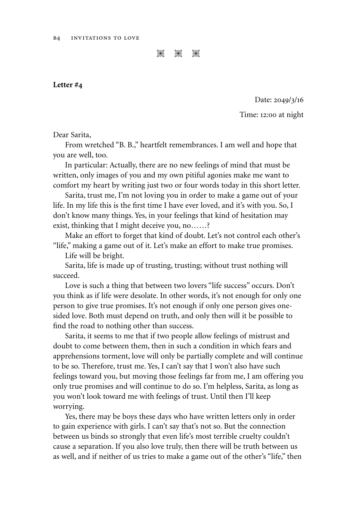# $\mathscr{H}$   $\mathscr{H}$   $\mathscr{H}$

#### **Letter #4**

Date: 2049/3/16 Time: 12:00 at night

Dear Sarita,

From wretched "B. B.," heartfelt remembrances. I am well and hope that you are well, too.

In particular: Actually, there are no new feelings of mind that must be written, only images of you and my own pitiful agonies make me want to comfort my heart by writing just two or four words today in this short letter.

Sarita, trust me, I'm not loving you in order to make a game out of your life. In my life this is the first time I have ever loved, and it's with you. So, I don't know many things. Yes, in your feelings that kind of hesitation may exist, thinking that I might deceive you, no……?

Make an effort to forget that kind of doubt. Let's not control each other's "life," making a game out of it. Let's make an effort to make true promises.

Life will be bright.

Sarita, life is made up of trusting, trusting; without trust nothing will succeed.

Love is such a thing that between two lovers "life success" occurs. Don't you think as if life were desolate. In other words, it's not enough for only one person to give true promises. It's not enough if only one person gives onesided love. Both must depend on truth, and only then will it be possible to find the road to nothing other than success.

Sarita, it seems to me that if two people allow feelings of mistrust and doubt to come between them, then in such a condition in which fears and apprehensions torment, love will only be partially complete and will continue to be so. Therefore, trust me. Yes, I can't say that I won't also have such feelings toward you, but moving those feelings far from me, I am offering you only true promises and will continue to do so. I'm helpless, Sarita, as long as you won't look toward me with feelings of trust. Until then I'll keep worrying.

Yes, there may be boys these days who have written letters only in order to gain experience with girls. I can't say that's not so. But the connection between us binds so strongly that even life's most terrible cruelty couldn't cause a separation. If you also love truly, then there will be truth between us as well, and if neither of us tries to make a game out of the other's "life," then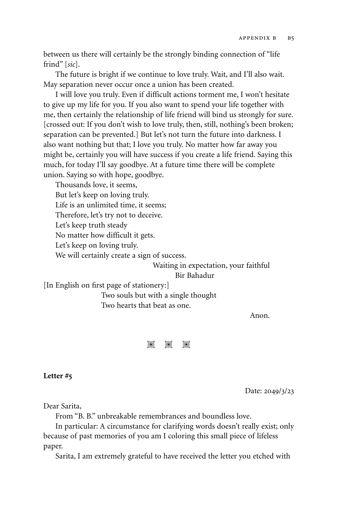between us there will certainly be the strongly binding connection of "life frind" [*sic*].

The future is bright if we continue to love truly. Wait, and I'll also wait. May separation never occur once a union has been created.

I will love you truly. Even if difficult actions torment me, I won't hesitate to give up my life for you. If you also want to spend your life together with me, then certainly the relationship of life friend will bind us strongly for sure. [crossed out: If you don't wish to love truly, then, still, nothing's been broken; separation can be prevented.] But let's not turn the future into darkness. I also want nothing but that; I love you truly. No matter how far away you might be, certainly you will have success if you create a life friend. Saying this much, for today I'll say goodbye. At a future time there will be complete union. Saying so with hope, goodbye.

Thousands love, it seems, But let's keep on loving truly. Life is an unlimited time, it seems; Therefore, let's try not to deceive. Let's keep truth steady No matter how difficult it gets. Let's keep on loving truly. We will certainly create a sign of success.

> Waiting in expectation, your faithful Bir Bahadur

[In English on first page of stationery:]

Two souls but with a single thought Two hearts that beat as one.

Anon.

#### $\mathscr{H}$   $\mathscr{H}$   $\mathscr{H}$

## **Letter #5**

Date: 2049/3/23

Dear Sarita,

From "B. B." unbreakable remembrances and boundless love.

In particular: A circumstance for clarifying words doesn't really exist; only because of past memories of you am I coloring this small piece of lifeless paper.

Sarita, I am extremely grateful to have received the letter you etched with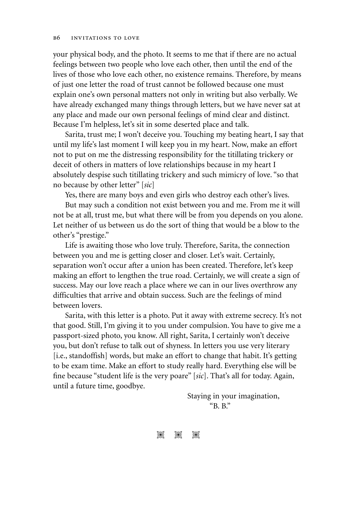your physical body, and the photo. It seems to me that if there are no actual feelings between two people who love each other, then until the end of the lives of those who love each other, no existence remains. Therefore, by means of just one letter the road of trust cannot be followed because one must explain one's own personal matters not only in writing but also verbally. We have already exchanged many things through letters, but we have never sat at any place and made our own personal feelings of mind clear and distinct. Because I'm helpless, let's sit in some deserted place and talk.

Sarita, trust me; I won't deceive you. Touching my beating heart, I say that until my life's last moment I will keep you in my heart. Now, make an effort not to put on me the distressing responsibility for the titillating trickery or deceit of others in matters of love relationships because in my heart I absolutely despise such titillating trickery and such mimicry of love. "so that no because by other letter" [*sic*]

Yes, there are many boys and even girls who destroy each other's lives.

But may such a condition not exist between you and me. From me it will not be at all, trust me, but what there will be from you depends on you alone. Let neither of us between us do the sort of thing that would be a blow to the other's "prestige."

Life is awaiting those who love truly. Therefore, Sarita, the connection between you and me is getting closer and closer. Let's wait. Certainly, separation won't occur after a union has been created. Therefore, let's keep making an effort to lengthen the true road. Certainly, we will create a sign of success. May our love reach a place where we can in our lives overthrow any difficulties that arrive and obtain success. Such are the feelings of mind between lovers.

Sarita, with this letter is a photo. Put it away with extreme secrecy. It's not that good. Still, I'm giving it to you under compulsion. You have to give me a passport-sized photo, you know. All right, Sarita, I certainly won't deceive you, but don't refuse to talk out of shyness. In letters you use very literary [i.e., standoffish] words, but make an effort to change that habit. It's getting to be exam time. Make an effort to study really hard. Everything else will be fine because "student life is the very poare" [*sic*]. That's all for today. Again, until a future time, goodbye.

> Staying in your imagination,  $R^W$

VII VII VII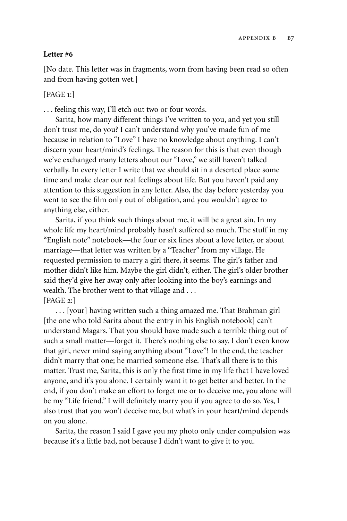## **Letter #6**

[No date. This letter was in fragments, worn from having been read so often and from having gotten wet.]

## [PAGE 1:]

. . . feeling this way, I'll etch out two or four words.

Sarita, how many different things I've written to you, and yet you still don't trust me, do you? I can't understand why you've made fun of me because in relation to "Love" I have no knowledge about anything. I can't discern your heart/mind's feelings. The reason for this is that even though we've exchanged many letters about our "Love," we still haven't talked verbally. In every letter I write that we should sit in a deserted place some time and make clear our real feelings about life. But you haven't paid any attention to this suggestion in any letter. Also, the day before yesterday you went to see the film only out of obligation, and you wouldn't agree to anything else, either.

Sarita, if you think such things about me, it will be a great sin. In my whole life my heart/mind probably hasn't suffered so much. The stuff in my "English note" notebook—the four or six lines about a love letter, or about marriage—that letter was written by a "Teacher" from my village. He requested permission to marry a girl there, it seems. The girl's father and mother didn't like him. Maybe the girl didn't, either. The girl's older brother said they'd give her away only after looking into the boy's earnings and wealth. The brother went to that village and . . .  $[PAGE 2:]$ 

. . . [your] having written such a thing amazed me. That Brahman girl [the one who told Sarita about the entry in his English notebook] can't understand Magars. That you should have made such a terrible thing out of such a small matter—forget it. There's nothing else to say. I don't even know that girl, never mind saying anything about "Love"! In the end, the teacher didn't marry that one; he married someone else. That's all there is to this matter. Trust me, Sarita, this is only the first time in my life that I have loved anyone, and it's you alone. I certainly want it to get better and better. In the end, if you don't make an effort to forget me or to deceive me, you alone will be my "Life friend." I will definitely marry you if you agree to do so. Yes, I also trust that you won't deceive me, but what's in your heart/mind depends on you alone.

Sarita, the reason I said I gave you my photo only under compulsion was because it's a little bad, not because I didn't want to give it to you.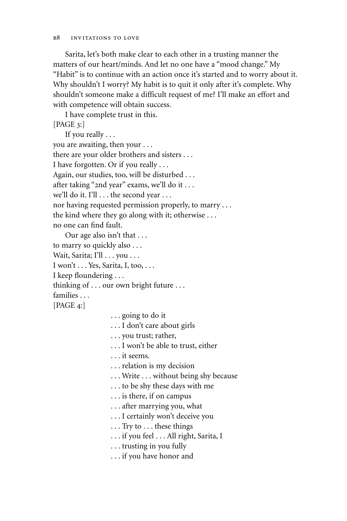Sarita, let's both make clear to each other in a trusting manner the matters of our heart/minds. And let no one have a "mood change." My "Habit" is to continue with an action once it's started and to worry about it. Why shouldn't I worry? My habit is to quit it only after it's complete. Why shouldn't someone make a difficult request of me? I'll make an effort and with competence will obtain success.

I have complete trust in this.

 $[PAGE 3:]$ 

If you really . . . you are awaiting, then your . . . there are your older brothers and sisters . . . I have forgotten. Or if you really . . . Again, our studies, too, will be disturbed . . . after taking "2nd year" exams, we'll do it . . . we'll do it. I'll . . . the second year . . . nor having requested permission properly, to marry . . . the kind where they go along with it; otherwise . . . no one can find fault.

Our age also isn't that ... to marry so quickly also . . . Wait, Sarita; I'll . . . you . . . I won't  $\dots$  Yes, Sarita, I, too,  $\dots$ I keep floundering . . . thinking of . . . our own bright future . . . families . . .  $[PAGE 4:]$ 

. . . going to do it

. . . I don't care about girls

. . . you trust; rather,

. . . I won't be able to trust, either

. . . it seems.

. . . relation is my decision

... Write ... without being shy because

. . . to be shy these days with me

. . . is there, if on campus

. . . after marrying you, what

. . . I certainly won't deceive you

. . . Try to . . . these things

. . . if you feel . . . All right, Sarita, I

. . . trusting in you fully

. . . if you have honor and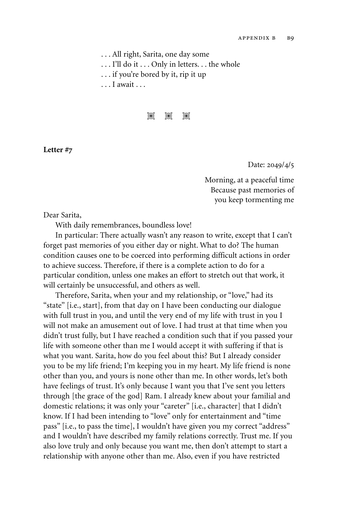. . . All right, Sarita, one day some . . . I'll do it . . . Only in letters. . . the whole . . . if you're bored by it, rip it up . . . I await . . .

VII VII VII

**Letter #7**

Date: 2049/4/5

Morning, at a peaceful time Because past memories of you keep tormenting me

Dear Sarita,

With daily remembrances, boundless love!

In particular: There actually wasn't any reason to write, except that I can't forget past memories of you either day or night. What to do? The human condition causes one to be coerced into performing difficult actions in order to achieve success. Therefore, if there is a complete action to do for a particular condition, unless one makes an effort to stretch out that work, it will certainly be unsuccessful, and others as well.

Therefore, Sarita, when your and my relationship, or "love," had its "state" [i.e., start], from that day on I have been conducting our dialogue with full trust in you, and until the very end of my life with trust in you I will not make an amusement out of love. I had trust at that time when you didn't trust fully, but I have reached a condition such that if you passed your life with someone other than me I would accept it with suffering if that is what you want. Sarita, how do you feel about this? But I already consider you to be my life friend; I'm keeping you in my heart. My life friend is none other than you, and yours is none other than me. In other words, let's both have feelings of trust. It's only because I want you that I've sent you letters through [the grace of the god] Ram. I already knew about your familial and domestic relations; it was only your "careter" [i.e., character] that I didn't know. If I had been intending to "love" only for entertainment and "time pass" [i.e., to pass the time], I wouldn't have given you my correct "address" and I wouldn't have described my family relations correctly. Trust me. If you also love truly and only because you want me, then don't attempt to start a relationship with anyone other than me. Also, even if you have restricted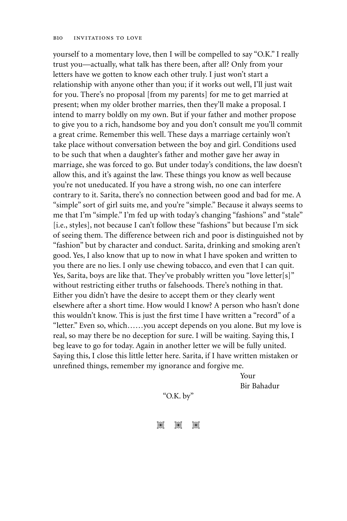yourself to a momentary love, then I will be compelled to say "O.K." I really trust you—actually, what talk has there been, after all? Only from your letters have we gotten to know each other truly. I just won't start a relationship with anyone other than you; if it works out well, I'll just wait for you. There's no proposal [from my parents] for me to get married at present; when my older brother marries, then they'll make a proposal. I intend to marry boldly on my own. But if your father and mother propose to give you to a rich, handsome boy and you don't consult me you'll commit a great crime. Remember this well. These days a marriage certainly won't take place without conversation between the boy and girl. Conditions used to be such that when a daughter's father and mother gave her away in marriage, she was forced to go. But under today's conditions, the law doesn't allow this, and it's against the law. These things you know as well because you're not uneducated. If you have a strong wish, no one can interfere contrary to it. Sarita, there's no connection between good and bad for me. A "simple" sort of girl suits me, and you're "simple." Because it always seems to me that I'm "simple." I'm fed up with today's changing "fashions" and "stale" [i.e., styles], not because I can't follow these "fashions" but because I'm sick of seeing them. The difference between rich and poor is distinguished not by "fashion" but by character and conduct. Sarita, drinking and smoking aren't good. Yes, I also know that up to now in what I have spoken and written to you there are no lies. I only use chewing tobacco, and even that I can quit. Yes, Sarita, boys are like that. They've probably written you "love letter[s]" without restricting either truths or falsehoods. There's nothing in that. Either you didn't have the desire to accept them or they clearly went elsewhere after a short time. How would I know? A person who hasn't done this wouldn't know. This is just the first time I have written a "record" of a "letter." Even so, which……you accept depends on you alone. But my love is real, so may there be no deception for sure. I will be waiting. Saying this, I beg leave to go for today. Again in another letter we will be fully united. Saying this, I close this little letter here. Sarita, if I have written mistaken or unrefined things, remember my ignorance and forgive me.

> Your Bir Bahadur

## "O.K. by"

 $\mathscr{H}$   $\mathscr{H}$   $\mathscr{H}$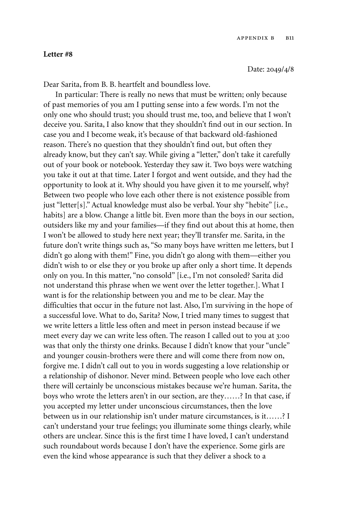Dear Sarita, from B. B. heartfelt and boundless love.

In particular: There is really no news that must be written; only because of past memories of you am I putting sense into a few words. I'm not the only one who should trust; you should trust me, too, and believe that I won't deceive you. Sarita, I also know that they shouldn't find out in our section. In case you and I become weak, it's because of that backward old-fashioned reason. There's no question that they shouldn't find out, but often they already know, but they can't say. While giving a "letter," don't take it carefully out of your book or notebook. Yesterday they saw it. Two boys were watching you take it out at that time. Later I forgot and went outside, and they had the opportunity to look at it. Why should you have given it to me yourself, why? Between two people who love each other there is not existence possible from just "letter[s]." Actual knowledge must also be verbal. Your shy "hebite" [i.e., habits] are a blow. Change a little bit. Even more than the boys in our section, outsiders like my and your families—if they find out about this at home, then I won't be allowed to study here next year; they'll transfer me. Sarita, in the future don't write things such as, "So many boys have written me letters, but I didn't go along with them!" Fine, you didn't go along with them—either you didn't wish to or else they or you broke up after only a short time. It depends only on you. In this matter, "no consold" [i.e., I'm not consoled? Sarita did not understand this phrase when we went over the letter together.]. What I want is for the relationship between you and me to be clear. May the difficulties that occur in the future not last. Also, I'm surviving in the hope of a successful love. What to do, Sarita? Now, I tried many times to suggest that we write letters a little less often and meet in person instead because if we meet every day we can write less often. The reason I called out to you at 3:00 was that only the thirsty one drinks. Because I didn't know that your "uncle" and younger cousin-brothers were there and will come there from now on, forgive me. I didn't call out to you in words suggesting a love relationship or a relationship of dishonor. Never mind. Between people who love each other there will certainly be unconscious mistakes because we're human. Sarita, the boys who wrote the letters aren't in our section, are they……? In that case, if you accepted my letter under unconscious circumstances, then the love between us in our relationship isn't under mature circumstances, is it……? I can't understand your true feelings; you illuminate some things clearly, while others are unclear. Since this is the first time I have loved, I can't understand such roundabout words because I don't have the experience. Some girls are even the kind whose appearance is such that they deliver a shock to a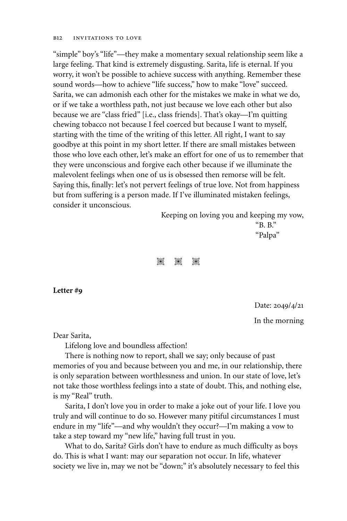"simple" boy's "life"—they make a momentary sexual relationship seem like a large feeling. That kind is extremely disgusting. Sarita, life is eternal. If you worry, it won't be possible to achieve success with anything. Remember these sound words—how to achieve "life success," how to make "love" succeed. Sarita, we can admonish each other for the mistakes we make in what we do, or if we take a worthless path, not just because we love each other but also because we are "class fried" [i.e., class friends]. That's okay—I'm quitting chewing tobacco not because I feel coerced but because I want to myself, starting with the time of the writing of this letter. All right, I want to say goodbye at this point in my short letter. If there are small mistakes between those who love each other, let's make an effort for one of us to remember that they were unconscious and forgive each other because if we illuminate the malevolent feelings when one of us is obsessed then remorse will be felt. Saying this, finally: let's not pervert feelings of true love. Not from happiness but from suffering is a person made. If I've illuminated mistaken feelings, consider it unconscious.

> Keeping on loving you and keeping my vow,  $"R R"$ "Palpa"

 $\mathscr{H}$   $\mathscr{H}$   $\mathscr{H}$ 

**Letter #9**

Date: 2049/4/21

In the morning

Dear Sarita,

Lifelong love and boundless affection!

There is nothing now to report, shall we say; only because of past memories of you and because between you and me, in our relationship, there is only separation between worthlessness and union. In our state of love, let's not take those worthless feelings into a state of doubt. This, and nothing else, is my "Real" truth.

Sarita, I don't love you in order to make a joke out of your life. I love you truly and will continue to do so. However many pitiful circumstances I must endure in my "life"—and why wouldn't they occur?—I'm making a vow to take a step toward my "new life," having full trust in you.

What to do, Sarita? Girls don't have to endure as much difficulty as boys do. This is what I want: may our separation not occur. In life, whatever society we live in, may we not be "down;" it's absolutely necessary to feel this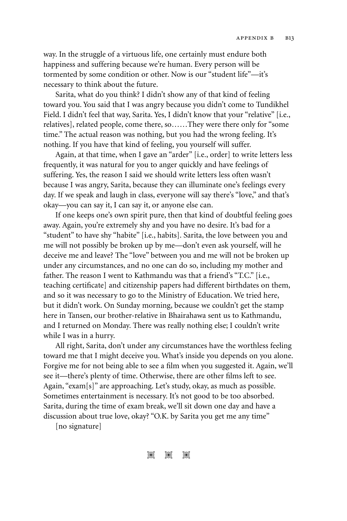way. In the struggle of a virtuous life, one certainly must endure both happiness and suffering because we're human. Every person will be tormented by some condition or other. Now is our "student life"—it's necessary to think about the future.

Sarita, what do you think? I didn't show any of that kind of feeling toward you. You said that I was angry because you didn't come to Tundikhel Field. I didn't feel that way, Sarita. Yes, I didn't know that your "relative" [i.e., relatives], related people, come there, so……They were there only for "some time." The actual reason was nothing, but you had the wrong feeling. It's nothing. If you have that kind of feeling, you yourself will suffer.

Again, at that time, when I gave an "arder" [i.e., order] to write letters less frequently, it was natural for you to anger quickly and have feelings of suffering. Yes, the reason I said we should write letters less often wasn't because I was angry, Sarita, because they can illuminate one's feelings every day. If we speak and laugh in class, everyone will say there's "love," and that's okay—you can say it, I can say it, or anyone else can.

If one keeps one's own spirit pure, then that kind of doubtful feeling goes away. Again, you're extremely shy and you have no desire. It's bad for a "student" to have shy "habite" [i.e., habits]. Sarita, the love between you and me will not possibly be broken up by me—don't even ask yourself, will he deceive me and leave? The "love" between you and me will not be broken up under any circumstances, and no one can do so, including my mother and father. The reason I went to Kathmandu was that a friend's "T.C." [i.e., teaching certificate] and citizenship papers had different birthdates on them, and so it was necessary to go to the Ministry of Education. We tried here, but it didn't work. On Sunday morning, because we couldn't get the stamp here in Tansen, our brother-relative in Bhairahawa sent us to Kathmandu, and I returned on Monday. There was really nothing else; I couldn't write while I was in a hurry.

All right, Sarita, don't under any circumstances have the worthless feeling toward me that I might deceive you. What's inside you depends on you alone. Forgive me for not being able to see a film when you suggested it. Again, we'll see it—there's plenty of time. Otherwise, there are other films left to see. Again, "exam[s]" are approaching. Let's study, okay, as much as possible. Sometimes entertainment is necessary. It's not good to be too absorbed. Sarita, during the time of exam break, we'll sit down one day and have a discussion about true love, okay? "O.K. by Sarita you get me any time"

[no signature]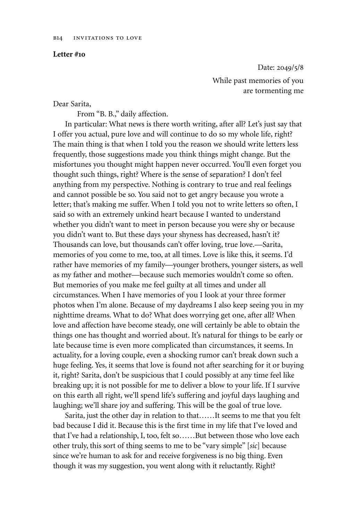## **Letter #10**

Date: 2049/5/8 While past memories of you are tormenting me

## Dear Sarita,

From "B. B.," daily affection.

In particular: What news is there worth writing, after all? Let's just say that I offer you actual, pure love and will continue to do so my whole life, right? The main thing is that when I told you the reason we should write letters less frequently, those suggestions made you think things might change. But the misfortunes you thought might happen never occurred. You'll even forget you thought such things, right? Where is the sense of separation? I don't feel anything from my perspective. Nothing is contrary to true and real feelings and cannot possible be so. You said not to get angry because you wrote a letter; that's making me suffer. When I told you not to write letters so often, I said so with an extremely unkind heart because I wanted to understand whether you didn't want to meet in person because you were shy or because you didn't want to. But these days your shyness has decreased, hasn't it? Thousands can love, but thousands can't offer loving, true love.—Sarita, memories of you come to me, too, at all times. Love is like this, it seems. I'd rather have memories of my family—younger brothers, younger sisters, as well as my father and mother—because such memories wouldn't come so often. But memories of you make me feel guilty at all times and under all circumstances. When I have memories of you I look at your three former photos when I'm alone. Because of my daydreams I also keep seeing you in my nighttime dreams. What to do? What does worrying get one, after all? When love and affection have become steady, one will certainly be able to obtain the things one has thought and worried about. It's natural for things to be early or late because time is even more complicated than circumstances, it seems. In actuality, for a loving couple, even a shocking rumor can't break down such a huge feeling. Yes, it seems that love is found not after searching for it or buying it, right? Sarita, don't be suspicious that I could possibly at any time feel like breaking up; it is not possible for me to deliver a blow to your life. If I survive on this earth all right, we'll spend life's suffering and joyful days laughing and laughing; we'll share joy and suffering. This will be the goal of true love.

Sarita, just the other day in relation to that……It seems to me that you felt bad because I did it. Because this is the first time in my life that I've loved and that I've had a relationship, I, too, felt so……But between those who love each other truly, this sort of thing seems to me to be "vary simple" [*sic*] because since we're human to ask for and receive forgiveness is no big thing. Even though it was my suggestion, you went along with it reluctantly. Right?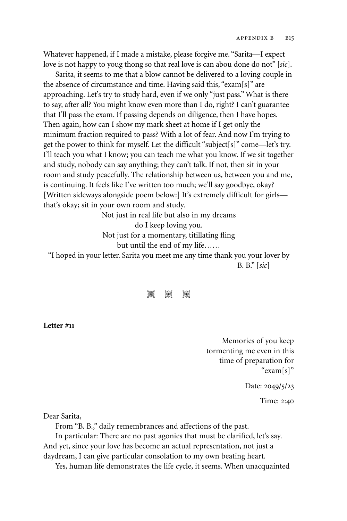Whatever happened, if I made a mistake, please forgive me. "Sarita—I expect love is not happy to youg thong so that real love is can abou done do not" [*sic*].

Sarita, it seems to me that a blow cannot be delivered to a loving couple in the absence of circumstance and time. Having said this, "exam[s]" are approaching. Let's try to study hard, even if we only "just pass." What is there to say, after all? You might know even more than I do, right? I can't guarantee that I'll pass the exam. If passing depends on diligence, then I have hopes. Then again, how can I show my mark sheet at home if I get only the minimum fraction required to pass? With a lot of fear. And now I'm trying to get the power to think for myself. Let the difficult "subject[s]" come—let's try. I'll teach you what I know; you can teach me what you know. If we sit together and study, nobody can say anything; they can't talk. If not, then sit in your room and study peacefully. The relationship between us, between you and me, is continuing. It feels like I've written too much; we'll say goodbye, okay? [Written sideways alongside poem below:] It's extremely difficult for girls that's okay; sit in your own room and study.

> Not just in real life but also in my dreams do I keep loving you. Not just for a momentary, titillating fling but until the end of my life……

"I hoped in your letter. Sarita you meet me any time thank you your lover by B. B." [*sic*]



**Letter #11**

Memories of you keep tormenting me even in this time of preparation for "exam[s]"

Date: 2049/5/23

Time: 2:40

Dear Sarita,

From "B. B.," daily remembrances and affections of the past. In particular: There are no past agonies that must be clarified, let's say. And yet, since your love has become an actual representation, not just a daydream, I can give particular consolation to my own beating heart.

Yes, human life demonstrates the life cycle, it seems. When unacquainted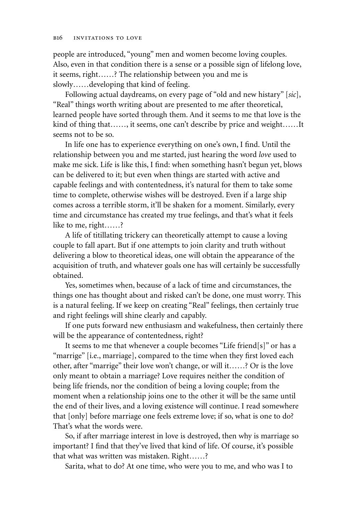people are introduced, "young" men and women become loving couples. Also, even in that condition there is a sense or a possible sign of lifelong love, it seems, right……? The relationship between you and me is slowly……developing that kind of feeling.

Following actual daydreams, on every page of "old and new histary" [*sic*], "Real" things worth writing about are presented to me after theoretical, learned people have sorted through them. And it seems to me that love is the kind of thing that……, it seems, one can't describe by price and weight……It seems not to be so.

In life one has to experience everything on one's own, I find. Until the relationship between you and me started, just hearing the word *love* used to make me sick. Life is like this, I find: when something hasn't begun yet, blows can be delivered to it; but even when things are started with active and capable feelings and with contentedness, it's natural for them to take some time to complete, otherwise wishes will be destroyed. Even if a large ship comes across a terrible storm, it'll be shaken for a moment. Similarly, every time and circumstance has created my true feelings, and that's what it feels like to me, right……?

A life of titillating trickery can theoretically attempt to cause a loving couple to fall apart. But if one attempts to join clarity and truth without delivering a blow to theoretical ideas, one will obtain the appearance of the acquisition of truth, and whatever goals one has will certainly be successfully obtained.

Yes, sometimes when, because of a lack of time and circumstances, the things one has thought about and risked can't be done, one must worry. This is a natural feeling. If we keep on creating "Real" feelings, then certainly true and right feelings will shine clearly and capably.

If one puts forward new enthusiasm and wakefulness, then certainly there will be the appearance of contentedness, right?

It seems to me that whenever a couple becomes "Life friend[s]" or has a "marrige" [i.e., marriage], compared to the time when they first loved each other, after "marrige" their love won't change, or will it……? Or is the love only meant to obtain a marriage? Love requires neither the condition of being life friends, nor the condition of being a loving couple; from the moment when a relationship joins one to the other it will be the same until the end of their lives, and a loving existence will continue. I read somewhere that [only] before marriage one feels extreme love; if so, what is one to do? That's what the words were.

So, if after marriage interest in love is destroyed, then why is marriage so important? I find that they've lived that kind of life. Of course, it's possible that what was written was mistaken. Right……?

Sarita, what to do? At one time, who were you to me, and who was I to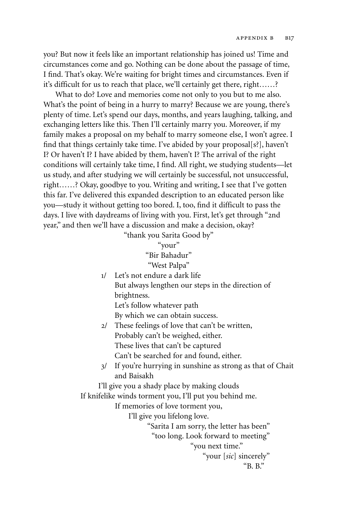you? But now it feels like an important relationship has joined us! Time and circumstances come and go. Nothing can be done about the passage of time, I find. That's okay. We're waiting for bright times and circumstances. Even if it's difficult for us to reach that place, we'll certainly get there, right……?

What to do? Love and memories come not only to you but to me also. What's the point of being in a hurry to marry? Because we are young, there's plenty of time. Let's spend our days, months, and years laughing, talking, and exchanging letters like this. Then I'll certainly marry you. Moreover, if my family makes a proposal on my behalf to marry someone else, I won't agree. I find that things certainly take time. I've abided by your proposal[s?], haven't I? Or haven't I? I have abided by them, haven't I? The arrival of the right conditions will certainly take time, I find. All right, we studying students—let us study, and after studying we will certainly be successful, not unsuccessful, right……? Okay, goodbye to you. Writing and writing, I see that I've gotten this far. I've delivered this expanded description to an educated person like you—study it without getting too bored. I, too, find it difficult to pass the days. I live with daydreams of living with you. First, let's get through "2nd year," and then we'll have a discussion and make a decision, okay?

"thank you Sarita Good by"

"your" "Bir Bahadur" "West Palpa"

1/ Let's not endure a dark life But always lengthen our steps in the direction of brightness.

Let's follow whatever path

By which we can obtain success.

- 2/ These feelings of love that can't be written, Probably can't be weighed, either. These lives that can't be captured Can't be searched for and found, either.
- 3/ If you're hurrying in sunshine as strong as that of Chait and Baisakh

I'll give you a shady place by making clouds

If knifelike winds torment you, I'll put you behind me.

If memories of love torment you,

I'll give you lifelong love.

"Sarita I am sorry, the letter has been" "too long. Look forward to meeting" "you next time."

"your [*sic*] sincerely"

```
R^"R
```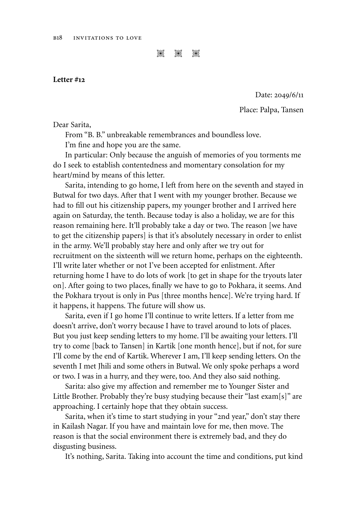# $\mathscr{H}$   $\mathscr{H}$   $\mathscr{H}$

## **Letter #12**

Date: 2049/6/11 Place: Palpa, Tansen

Dear Sarita,

From "B. B." unbreakable remembrances and boundless love. I'm fine and hope you are the same.

In particular: Only because the anguish of memories of you torments me do I seek to establish contentedness and momentary consolation for my heart/mind by means of this letter.

Sarita, intending to go home, I left from here on the seventh and stayed in Butwal for two days. After that I went with my younger brother. Because we had to fill out his citizenship papers, my younger brother and I arrived here again on Saturday, the tenth. Because today is also a holiday, we are for this reason remaining here. It'll probably take a day or two. The reason [we have to get the citizenship papers] is that it's absolutely necessary in order to enlist in the army. We'll probably stay here and only after we try out for recruitment on the sixteenth will we return home, perhaps on the eighteenth. I'll write later whether or not I've been accepted for enlistment. After returning home I have to do lots of work [to get in shape for the tryouts later on]. After going to two places, finally we have to go to Pokhara, it seems. And the Pokhara tryout is only in Pus [three months hence]. We're trying hard. If it happens, it happens. The future will show us.

Sarita, even if I go home I'll continue to write letters. If a letter from me doesn't arrive, don't worry because I have to travel around to lots of places. But you just keep sending letters to my home. I'll be awaiting your letters. I'll try to come [back to Tansen] in Kartik [one month hence], but if not, for sure I'll come by the end of Kartik. Wherever I am, I'll keep sending letters. On the seventh I met Jhili and some others in Butwal. We only spoke perhaps a word or two. I was in a hurry, and they were, too. And they also said nothing.

Sarita: also give my affection and remember me to Younger Sister and Little Brother. Probably they're busy studying because their "last exam[s]" are approaching. I certainly hope that they obtain success.

Sarita, when it's time to start studying in your "2nd year," don't stay there in Kailash Nagar. If you have and maintain love for me, then move. The reason is that the social environment there is extremely bad, and they do disgusting business.

It's nothing, Sarita. Taking into account the time and conditions, put kind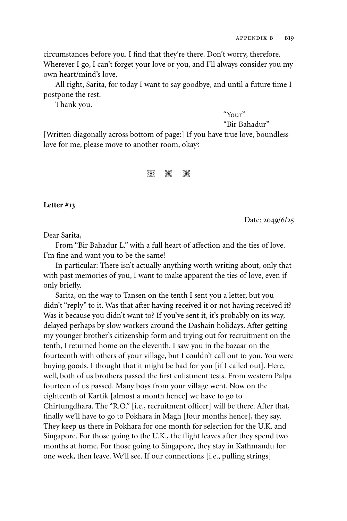circumstances before you. I find that they're there. Don't worry, therefore. Wherever I go, I can't forget your love or you, and I'll always consider you my own heart/mind's love.

All right, Sarita, for today I want to say goodbye, and until a future time I postpone the rest.

Thank you.

"Your"

"Bir Bahadur"

[Written diagonally across bottom of page:] If you have true love, boundless love for me, please move to another room, okay?



**Letter #13**

Date: 2049/6/25

Dear Sarita,

From "Bir Bahadur L." with a full heart of affection and the ties of love. I'm fine and want you to be the same!

In particular: There isn't actually anything worth writing about, only that with past memories of you, I want to make apparent the ties of love, even if only briefly.

Sarita, on the way to Tansen on the tenth I sent you a letter, but you didn't "reply" to it. Was that after having received it or not having received it? Was it because you didn't want to? If you've sent it, it's probably on its way, delayed perhaps by slow workers around the Dashain holidays. After getting my younger brother's citizenship form and trying out for recruitment on the tenth, I returned home on the eleventh. I saw you in the bazaar on the fourteenth with others of your village, but I couldn't call out to you. You were buying goods. I thought that it might be bad for you [if I called out]. Here, well, both of us brothers passed the first enlistment tests. From western Palpa fourteen of us passed. Many boys from your village went. Now on the eighteenth of Kartik [almost a month hence] we have to go to Chirtungdhara. The "R.O." [i.e., recruitment officer] will be there. After that, finally we'll have to go to Pokhara in Magh [four months hence], they say. They keep us there in Pokhara for one month for selection for the U.K. and Singapore. For those going to the U.K., the flight leaves after they spend two months at home. For those going to Singapore, they stay in Kathmandu for one week, then leave. We'll see. If our connections [i.e., pulling strings]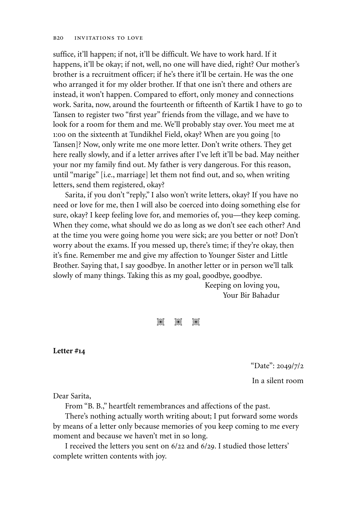suffice, it'll happen; if not, it'll be difficult. We have to work hard. If it happens, it'll be okay; if not, well, no one will have died, right? Our mother's brother is a recruitment officer; if he's there it'll be certain. He was the one who arranged it for my older brother. If that one isn't there and others are instead, it won't happen. Compared to effort, only money and connections work. Sarita, now, around the fourteenth or fifteenth of Kartik I have to go to Tansen to register two "first year" friends from the village, and we have to look for a room for them and me. We'll probably stay over. You meet me at 1:00 on the sixteenth at Tundikhel Field, okay? When are you going [to Tansen]? Now, only write me one more letter. Don't write others. They get here really slowly, and if a letter arrives after I've left it'll be bad. May neither your nor my family find out. My father is very dangerous. For this reason, until "marige" [i.e., marriage] let them not find out, and so, when writing letters, send them registered, okay?

Sarita, if you don't "reply," I also won't write letters, okay? If you have no need or love for me, then I will also be coerced into doing something else for sure, okay? I keep feeling love for, and memories of, you—they keep coming. When they come, what should we do as long as we don't see each other? And at the time you were going home you were sick; are you better or not? Don't worry about the exams. If you messed up, there's time; if they're okay, then it's fine. Remember me and give my affection to Younger Sister and Little Brother. Saying that, I say goodbye. In another letter or in person we'll talk slowly of many things. Taking this as my goal, goodbye, goodbye.

> Keeping on loving you, Your Bir Bahadur

 $\mathscr{H}$   $\mathscr{H}$   $\mathscr{H}$ 

**Letter #14**

"Date": 2049/7/2

In a silent room

Dear Sarita,

From "B. B.," heartfelt remembrances and affections of the past.

There's nothing actually worth writing about; I put forward some words by means of a letter only because memories of you keep coming to me every moment and because we haven't met in so long.

I received the letters you sent on 6/22 and 6/29. I studied those letters' complete written contents with joy.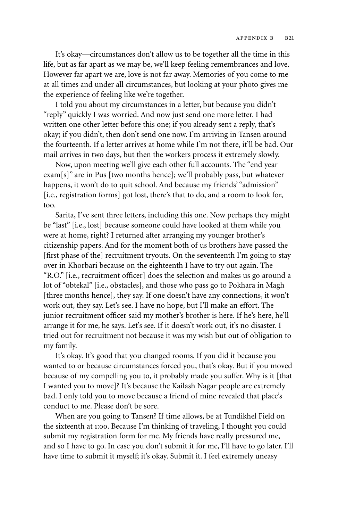It's okay—circumstances don't allow us to be together all the time in this life, but as far apart as we may be, we'll keep feeling remembrances and love. However far apart we are, love is not far away. Memories of you come to me at all times and under all circumstances, but looking at your photo gives me the experience of feeling like we're together.

I told you about my circumstances in a letter, but because you didn't "reply" quickly I was worried. And now just send one more letter. I had written one other letter before this one; if you already sent a reply, that's okay; if you didn't, then don't send one now. I'm arriving in Tansen around the fourteenth. If a letter arrives at home while I'm not there, it'll be bad. Our mail arrives in two days, but then the workers process it extremely slowly.

Now, upon meeting we'll give each other full accounts. The "end year exam[s]" are in Pus [two months hence]; we'll probably pass, but whatever happens, it won't do to quit school. And because my friends' "admission" [i.e., registration forms] got lost, there's that to do, and a room to look for, too.

Sarita, I've sent three letters, including this one. Now perhaps they might be "last" [i.e., lost] because someone could have looked at them while you were at home, right? I returned after arranging my younger brother's citizenship papers. And for the moment both of us brothers have passed the [first phase of the] recruitment tryouts. On the seventeenth I'm going to stay over in Khorbari because on the eighteenth I have to try out again. The "R.O." [i.e., recruitment officer] does the selection and makes us go around a lot of "obtekal" [i.e., obstacles], and those who pass go to Pokhara in Magh [three months hence], they say. If one doesn't have any connections, it won't work out, they say. Let's see. I have no hope, but I'll make an effort. The junior recruitment officer said my mother's brother is here. If he's here, he'll arrange it for me, he says. Let's see. If it doesn't work out, it's no disaster. I tried out for recruitment not because it was my wish but out of obligation to my family.

It's okay. It's good that you changed rooms. If you did it because you wanted to or because circumstances forced you, that's okay. But if you moved because of my compelling you to, it probably made you suffer. Why is it [that I wanted you to move]? It's because the Kailash Nagar people are extremely bad. I only told you to move because a friend of mine revealed that place's conduct to me. Please don't be sore.

When are you going to Tansen? If time allows, be at Tundikhel Field on the sixteenth at 1:00. Because I'm thinking of traveling, I thought you could submit my registration form for me. My friends have really pressured me, and so I have to go. In case you don't submit it for me, I'll have to go later. I'll have time to submit it myself; it's okay. Submit it. I feel extremely uneasy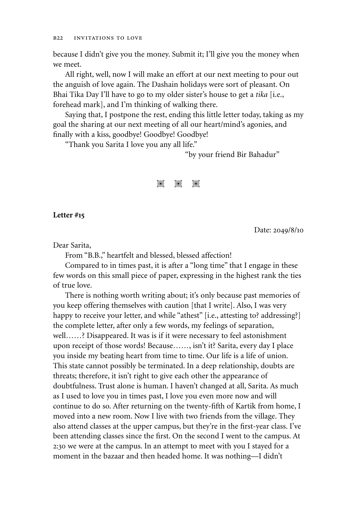because I didn't give you the money. Submit it; I'll give you the money when we meet.

All right, well, now I will make an effort at our next meeting to pour out the anguish of love again. The Dashain holidays were sort of pleasant. On Bhai Tika Day I'll have to go to my older sister's house to get a *tika* [i.e., forehead mark], and I'm thinking of walking there.

Saying that, I postpone the rest, ending this little letter today, taking as my goal the sharing at our next meeting of all our heart/mind's agonies, and finally with a kiss, goodbye! Goodbye! Goodbye!

"Thank you Sarita I love you any all life."

"by your friend Bir Bahadur"



## **Letter #15**

Date: 2049/8/10

Dear Sarita,

From "B.B.," heartfelt and blessed, blessed affection!

Compared to in times past, it is after a "long time" that I engage in these few words on this small piece of paper, expressing in the highest rank the ties of true love.

There is nothing worth writing about; it's only because past memories of you keep offering themselves with caution [that I write]. Also, I was very happy to receive your letter, and while "athest" [i.e., attesting to? addressing?] the complete letter, after only a few words, my feelings of separation, well……? Disappeared. It was is if it were necessary to feel astonishment upon receipt of those words! Because……, isn't it? Sarita, every day I place you inside my beating heart from time to time. Our life is a life of union. This state cannot possibly be terminated. In a deep relationship, doubts are threats; therefore, it isn't right to give each other the appearance of doubtfulness. Trust alone is human. I haven't changed at all, Sarita. As much as I used to love you in times past, I love you even more now and will continue to do so. After returning on the twenty-fifth of Kartik from home, I moved into a new room. Now I live with two friends from the village. They also attend classes at the upper campus, but they're in the first-year class. I've been attending classes since the first. On the second I went to the campus. At 2:30 we were at the campus. In an attempt to meet with you I stayed for a moment in the bazaar and then headed home. It was nothing—I didn't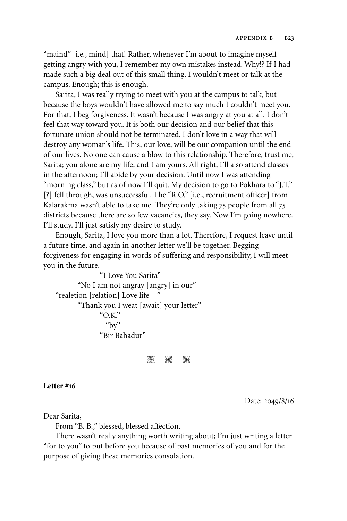"maind" [i.e., mind] that! Rather, whenever I'm about to imagine myself getting angry with you, I remember my own mistakes instead. Why!? If I had made such a big deal out of this small thing, I wouldn't meet or talk at the campus. Enough; this is enough.

Sarita, I was really trying to meet with you at the campus to talk, but because the boys wouldn't have allowed me to say much I couldn't meet you. For that, I beg forgiveness. It wasn't because I was angry at you at all. I don't feel that way toward you. It is both our decision and our belief that this fortunate union should not be terminated. I don't love in a way that will destroy any woman's life. This, our love, will be our companion until the end of our lives. No one can cause a blow to this relationship. Therefore, trust me, Sarita; you alone are my life, and I am yours. All right, I'll also attend classes in the afternoon; I'll abide by your decision. Until now I was attending "morning class," but as of now I'll quit. My decision to go to Pokhara to "J.T." [?] fell through, was unsuccessful. The "R.O." [i.e., recruitment officer] from Kalarakma wasn't able to take me. They're only taking 75 people from all 75 districts because there are so few vacancies, they say. Now I'm going nowhere. I'll study. I'll just satisfy my desire to study.

Enough, Sarita, I love you more than a lot. Therefore, I request leave until a future time, and again in another letter we'll be together. Begging forgiveness for engaging in words of suffering and responsibility, I will meet you in the future.

"I Love You Sarita" "No I am not angray [angry] in our" "realetion [relation] Love life—" "Thank you I weat [await] your letter"  $^{\circ}$ O.K." "by" "Bir Bahadur"

 $\mathscr{H}$   $\mathscr{H}$   $\mathscr{H}$ 

#### **Letter #16**

Date: 2049/8/16

Dear Sarita,

From "B. B.," blessed, blessed affection.

There wasn't really anything worth writing about; I'm just writing a letter "for to you" to put before you because of past memories of you and for the purpose of giving these memories consolation.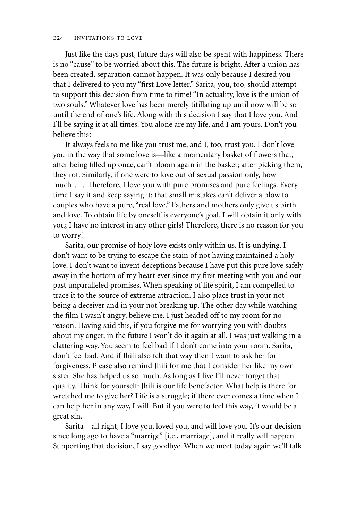Just like the days past, future days will also be spent with happiness. There is no "cause" to be worried about this. The future is bright. After a union has been created, separation cannot happen. It was only because I desired you that I delivered to you my "first Love letter." Sarita, you, too, should attempt to support this decision from time to time! "In actuality, love is the union of two souls." Whatever love has been merely titillating up until now will be so until the end of one's life. Along with this decision I say that I love you. And I'll be saying it at all times. You alone are my life, and I am yours. Don't you believe this?

It always feels to me like you trust me, and I, too, trust you. I don't love you in the way that some love is—like a momentary basket of flowers that, after being filled up once, can't bloom again in the basket; after picking them, they rot. Similarly, if one were to love out of sexual passion only, how much……Therefore, I love you with pure promises and pure feelings. Every time I say it and keep saying it: that small mistakes can't deliver a blow to couples who have a pure, "real love." Fathers and mothers only give us birth and love. To obtain life by oneself is everyone's goal. I will obtain it only with you; I have no interest in any other girls! Therefore, there is no reason for you to worry!

Sarita, our promise of holy love exists only within us. It is undying. I don't want to be trying to escape the stain of not having maintained a holy love. I don't want to invent deceptions because I have put this pure love safely away in the bottom of my heart ever since my first meeting with you and our past unparalleled promises. When speaking of life spirit, I am compelled to trace it to the source of extreme attraction. I also place trust in your not being a deceiver and in your not breaking up. The other day while watching the film I wasn't angry, believe me. I just headed off to my room for no reason. Having said this, if you forgive me for worrying you with doubts about my anger, in the future I won't do it again at all. I was just walking in a clattering way. You seem to feel bad if I don't come into your room. Sarita, don't feel bad. And if Jhili also felt that way then I want to ask her for forgiveness. Please also remind Jhili for me that I consider her like my own sister. She has helped us so much. As long as I live I'll never forget that quality. Think for yourself: Jhili is our life benefactor. What help is there for wretched me to give her? Life is a struggle; if there ever comes a time when I can help her in any way, I will. But if you were to feel this way, it would be a great sin.

Sarita—all right, I love you, loved you, and will love you. It's our decision since long ago to have a "marrige" [i.e., marriage], and it really will happen. Supporting that decision, I say goodbye. When we meet today again we'll talk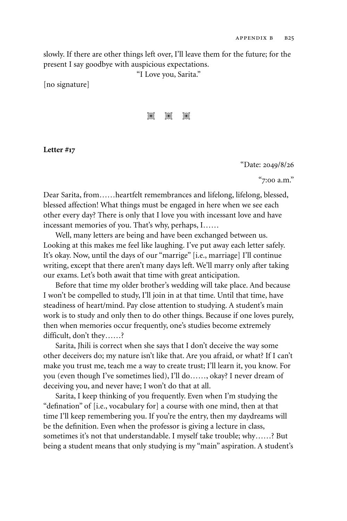slowly. If there are other things left over, I'll leave them for the future; for the present I say goodbye with auspicious expectations.

"I Love you, Sarita."

[no signature]

## VII VII VII

**Letter #17**

"Date: 2049/8/26

"7:00 a.m."

Dear Sarita, from……heartfelt remembrances and lifelong, lifelong, blessed, blessed affection! What things must be engaged in here when we see each other every day? There is only that I love you with incessant love and have incessant memories of you. That's why, perhaps, I……

Well, many letters are being and have been exchanged between us. Looking at this makes me feel like laughing. I've put away each letter safely. It's okay. Now, until the days of our "marrige" [i.e., marriage] I'll continue writing, except that there aren't many days left. We'll marry only after taking our exams. Let's both await that time with great anticipation.

Before that time my older brother's wedding will take place. And because I won't be compelled to study, I'll join in at that time. Until that time, have steadiness of heart/mind. Pay close attention to studying. A student's main work is to study and only then to do other things. Because if one loves purely, then when memories occur frequently, one's studies become extremely difficult, don't they……?

Sarita, Jhili is correct when she says that I don't deceive the way some other deceivers do; my nature isn't like that. Are you afraid, or what? If I can't make you trust me, teach me a way to create trust; I'll learn it, you know. For you (even though I've sometimes lied), I'll do……, okay? I never dream of deceiving you, and never have; I won't do that at all.

Sarita, I keep thinking of you frequently. Even when I'm studying the "defination" of [i.e., vocabulary for] a course with one mind, then at that time I'll keep remembering you. If you're the entry, then my daydreams will be the definition. Even when the professor is giving a lecture in class, sometimes it's not that understandable. I myself take trouble; why……? But being a student means that only studying is my "main" aspiration. A student's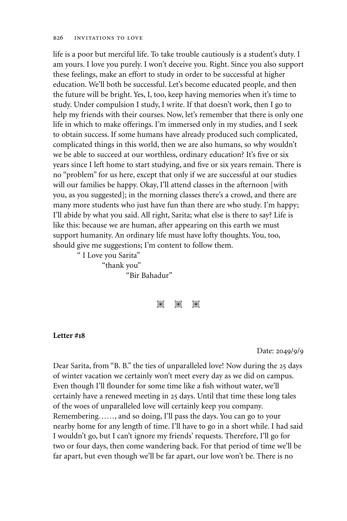life is a poor but merciful life. To take trouble cautiously is a student's duty. I am yours. I love you purely. I won't deceive you. Right. Since you also support these feelings, make an effort to study in order to be successful at higher education. We'll both be successful. Let's become educated people, and then the future will be bright. Yes, I, too, keep having memories when it's time to study. Under compulsion I study, I write. If that doesn't work, then I go to help my friends with their courses. Now, let's remember that there is only one life in which to make offerings. I'm immersed only in my studies, and I seek to obtain success. If some humans have already produced such complicated, complicated things in this world, then we are also humans, so why wouldn't we be able to succeed at our worthless, ordinary education? It's five or six years since I left home to start studying, and five or six years remain. There is no "problem" for us here, except that only if we are successful at our studies will our families be happy. Okay, I'll attend classes in the afternoon [with you, as you suggested]; in the morning classes there's a crowd, and there are many more students who just have fun than there are who study. I'm happy; I'll abide by what you said. All right, Sarita; what else is there to say? Life is like this: because we are human, after appearing on this earth we must support humanity. An ordinary life must have lofty thoughts. You, too, should give me suggestions; I'm content to follow them.

" I Love you Sarita" "thank you" "Bir Bahadur"

 $\mathscr{H}$   $\mathscr{H}$   $\mathscr{H}$ 

## **Letter #18**

Date: 2049/9/9

Dear Sarita, from "B. B." the ties of unparalleled love! Now during the 25 days of winter vacation we certainly won't meet every day as we did on campus. Even though I'll flounder for some time like a fish without water, we'll certainly have a renewed meeting in 25 days. Until that time these long tales of the woes of unparalleled love will certainly keep you company. Remembering……, and so doing, I'll pass the days. You can go to your nearby home for any length of time. I'll have to go in a short while. I had said I wouldn't go, but I can't ignore my friends' requests. Therefore, I'll go for two or four days, then come wandering back. For that period of time we'll be far apart, but even though we'll be far apart, our love won't be. There is no